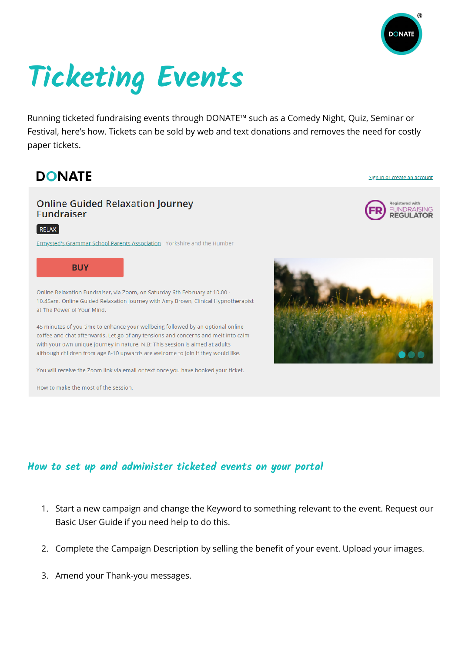

Sign in or create an account

**REGULATOR** 

# **Ticketing Events**

Running ticketed fundraising events through DONATE™ such as a Comedy Night, Quiz, Seminar or Festival, here's how. Tickets can be sold by web and text donations and removes the need for costly paper tickets.

## **DONATE**

#### **Online Guided Relaxation Journey Fundraiser**



Ermysted's Grammar School Parents Association - Yorkshire and the Humber



Online Relaxation Fundraiser, via Zoom, on Saturday 6th February at 10.00 -10.45am. Online Guided Relaxation Journey with Amy Brown, Clinical Hypnotherapist at The Power of Your Mind.

45 minutes of you time to enhance your wellbeing followed by an optional online coffee and chat afterwards. Let go of any tensions and concerns and melt into calm with your own unique journey in nature. N.B: This session is aimed at adults although children from age 8-10 upwards are welcome to join if they would like.

You will receive the Zoom link via email or text once you have booked your ticket.

How to make the most of the session.



#### **How to set up and administer ticketed events on your portal**

- 1. Start a new campaign and change the Keyword to something relevant to the event. Request our Basic User Guide if you need help to do this.
- 2. Complete the Campaign Description by selling the benefit of your event. Upload your images.
- 3. Amend your Thank-you messages.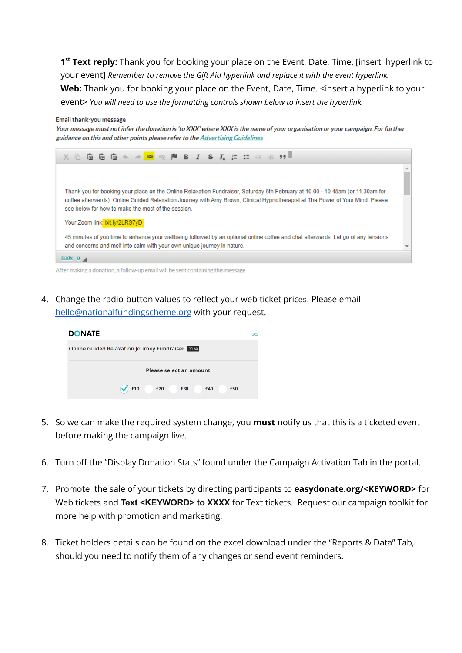**1 st Text reply:** Thank you for booking your place on the Event, Date, Time. [insert hyperlink to your event] *Remember to remove the Gift Aid hyperlink and replace it with the event hyperlink.* Web: Thank you for booking your place on the Event, Date, Time. <insert a hyperlink to your event> *You will need to use the formatting controls shown below to insert the hyperlink.*

#### Email thank-you message

Your message must not infer the donation is 'to XXX' where XXX is the name of your organisation or your campaign. For further guidance on this and other points please refer to the Advertising Guidelines



4. Change the radio-button values to reflect your web ticket prices. Please email

| <b>DONATE</b>                                            | <b>Sign</b> |
|----------------------------------------------------------|-------------|
| <b>Online Guided Relaxation Journey Fundraiser RELAX</b> |             |
| Please select an amount                                  |             |
| £10<br>£20<br>£30<br>£40<br>£50                          |             |

[hello@nationalfundingscheme.org](mailto:hello@nationalfundingscheme.org) with your request.

- 5. So we can make the required system change, you **must** notify us that this is a ticketed event before making the campaign live.
- 6. Turn off the "Display Donation Stats" found under the Campaign Activation Tab in the portal.
- 7. Promote the sale of your tickets by directing participants to **easydonate.org/<KEYWORD>** for Web tickets and **Text <KEYWORD> to XXXX** for Text tickets. Request our campaign toolkit for more help with promotion and marketing.
- 8. Ticket holders details can be found on the excel download under the "Reports & Data" Tab, should you need to notify them of any changes or send event reminders.